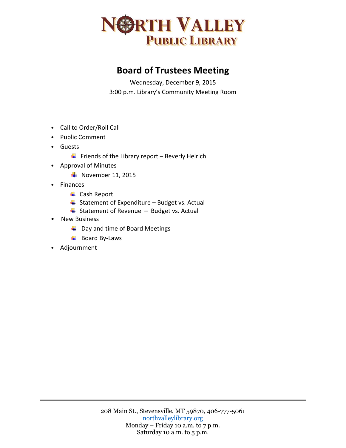

## **Board of Trustees Meeting**

Wednesday, December 9, 2015 3:00 p.m. Library's Community Meeting Room

- Call to Order/Roll Call
- Public Comment
- Guests
	- $\ddot{+}$  Friends of the Library report Beverly Helrich
- Approval of Minutes
	- $\textcolor{red}{\bullet}$  November 11, 2015
- Finances
	- **↓** Cash Report
	- $\overline{\phantom{a}}$  Statement of Expenditure Budget vs. Actual
	- $\overline{\phantom{a}}$  Statement of Revenue Budget vs. Actual
- New Business
	- $\overline{\phantom{a}}$  Day and time of Board Meetings
	- $\overline{\phantom{a}}$  Board By-Laws
- Adjournment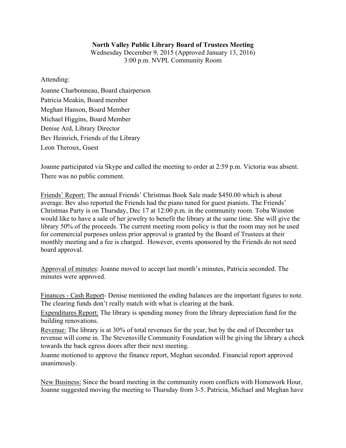## **North Valley Public Library Board of Trustees Meeting**

Wednesday December 9, 2015 (Approved January 13, 2016) 3:00 p.m. NVPL Community Room

Attending:

Joanne Charbonneau, Board chairperson Patricia Meakin, Board member Meghan Hanson, Board Member Michael Higgins, Board Member Denise Ard, Library Director Bev Heinrich, Friends of the Library Leon Theroux, Guest

Joanne participated via Skype and called the meeting to order at 2:59 p.m. Victoria was absent. There was no public comment.

Friends' Report: The annual Friends' Christmas Book Sale made \$450.00 which is about average. Bev also reported the Friends had the piano tuned for guest pianists. The Friends' Christmas Party is on Thursday, Dec 17 at 12:00 p.m. in the community room. Toba Winston would like to have a sale of her jewelry to benefit the library at the same time. She will give the library 50% of the proceeds. The current meeting room policy is that the room may not be used for commercial purposes unless prior approval is granted by the Board of Trustees at their monthly meeting and a fee is charged. However, events sponsored by the Friends do not need board approval.

Approval of minutes: Joanne moved to accept last month's minutes, Patricia seconded. The minutes were approved.

Finances - Cash Report- Denise mentioned the ending balances are the important figures to note. The clearing funds don't really match with what is clearing at the bank.

Expenditures Report: The library is spending money from the library depreciation fund for the building renovations.

Revenue: The library is at 30% of total revenues for the year, but by the end of December tax revenue will come in. The Stevensville Community Foundation will be giving the library a check towards the back egress doors after their next meeting.

Joanne motioned to approve the finance report, Meghan seconded. Financial report approved unanimously.

New Business: Since the board meeting in the community room conflicts with Homework Hour, Joanne suggested moving the meeting to Thursday from 3-5. Patricia, Michael and Meghan have